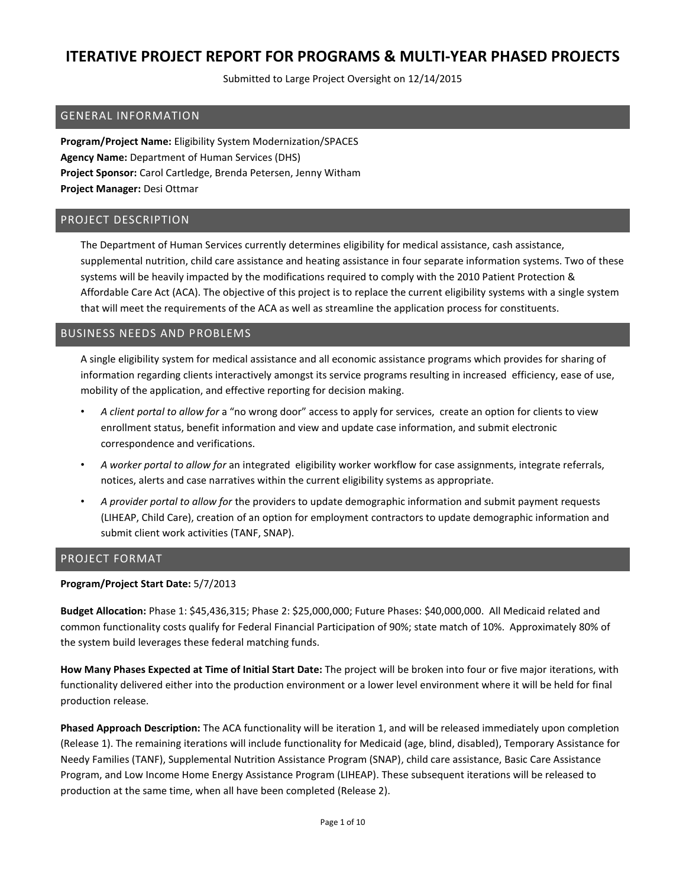Submitted to Large Project Oversight on 12/14/2015

### GENERAL INFORMATION

**Program/Project Name:** Eligibility System Modernization/SPACES **Agency Name:** Department of Human Services (DHS) **Project Sponsor:** Carol Cartledge, Brenda Petersen, Jenny Witham **Project Manager:** Desi Ottmar

### PROJECT DESCRIPTION

The Department of Human Services currently determines eligibility for medical assistance, cash assistance, supplemental nutrition, child care assistance and heating assistance in four separate information systems. Two of these systems will be heavily impacted by the modifications required to comply with the 2010 Patient Protection & Affordable Care Act (ACA). The objective of this project is to replace the current eligibility systems with a single system that will meet the requirements of the ACA as well as streamline the application process for constituents.

### BUSINESS NEEDS AND PROBLEMS

A single eligibility system for medical assistance and all economic assistance programs which provides for sharing of information regarding clients interactively amongst its service programs resulting in increased efficiency, ease of use, mobility of the application, and effective reporting for decision making.

- *A client portal to allow for* a "no wrong door" access to apply for services, create an option for clients to view enrollment status, benefit information and view and update case information, and submit electronic correspondence and verifications.
- *A worker portal to allow for* an integrated eligibility worker workflow for case assignments, integrate referrals, notices, alerts and case narratives within the current eligibility systems as appropriate.
- *A provider portal to allow for* the providers to update demographic information and submit payment requests (LIHEAP, Child Care), creation of an option for employment contractors to update demographic information and submit client work activities (TANF, SNAP).

#### PROJECT FORMAT

#### **Program/Project Start Date:** 5/7/2013

**Budget Allocation:** Phase 1: \$45,436,315; Phase 2: \$25,000,000; Future Phases: \$40,000,000. All Medicaid related and common functionality costs qualify for Federal Financial Participation of 90%; state match of 10%. Approximately 80% of the system build leverages these federal matching funds.

**How Many Phases Expected at Time of Initial Start Date:** The project will be broken into four or five major iterations, with functionality delivered either into the production environment or a lower level environment where it will be held for final production release.

**Phased Approach Description:** The ACA functionality will be iteration 1, and will be released immediately upon completion (Release 1). The remaining iterations will include functionality for Medicaid (age, blind, disabled), Temporary Assistance for Needy Families (TANF), Supplemental Nutrition Assistance Program (SNAP), child care assistance, Basic Care Assistance Program, and Low Income Home Energy Assistance Program (LIHEAP). These subsequent iterations will be released to production at the same time, when all have been completed (Release 2).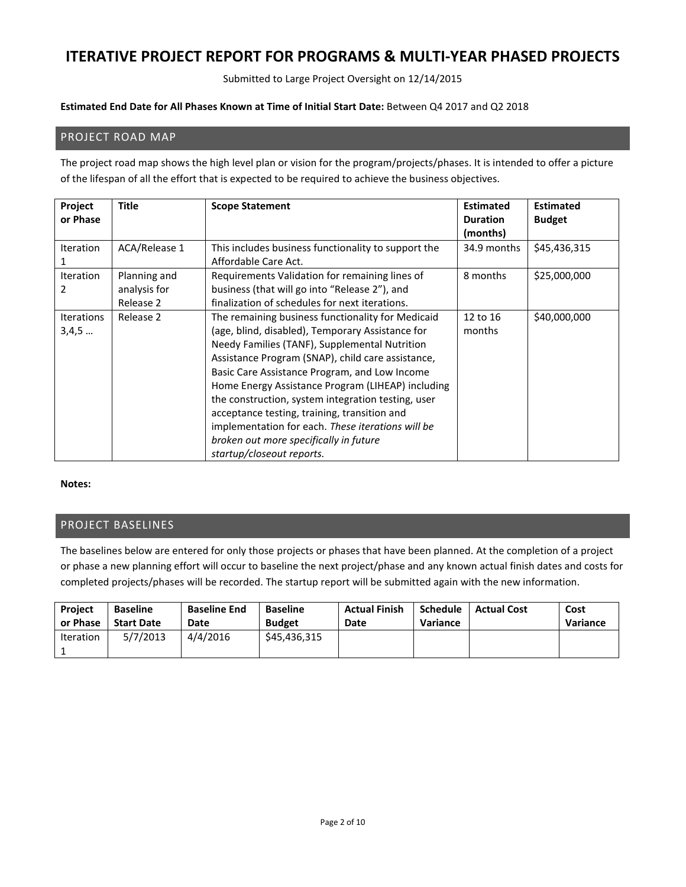Submitted to Large Project Oversight on 12/14/2015

#### **Estimated End Date for All Phases Known at Time of Initial Start Date:** Between Q4 2017 and Q2 2018

### PROJECT ROAD MAP

The project road map shows the high level plan or vision for the program/projects/phases. It is intended to offer a picture of the lifespan of all the effort that is expected to be required to achieve the business objectives.

| Project<br>or Phase        | Title                                     | <b>Scope Statement</b>                                                                                                                                                                                                                                                                                                                                                                                                                                                                                                                              | <b>Estimated</b><br><b>Duration</b><br>(months) | <b>Estimated</b><br><b>Budget</b> |
|----------------------------|-------------------------------------------|-----------------------------------------------------------------------------------------------------------------------------------------------------------------------------------------------------------------------------------------------------------------------------------------------------------------------------------------------------------------------------------------------------------------------------------------------------------------------------------------------------------------------------------------------------|-------------------------------------------------|-----------------------------------|
| <b>Iteration</b><br>1      | ACA/Release 1                             | This includes business functionality to support the<br>Affordable Care Act.                                                                                                                                                                                                                                                                                                                                                                                                                                                                         | 34.9 months                                     | \$45,436,315                      |
| <b>Iteration</b><br>2      | Planning and<br>analysis for<br>Release 2 | Requirements Validation for remaining lines of<br>business (that will go into "Release 2"), and<br>finalization of schedules for next iterations.                                                                                                                                                                                                                                                                                                                                                                                                   | 8 months                                        | \$25,000,000                      |
| <b>Iterations</b><br>3,4,5 | Release 2                                 | The remaining business functionality for Medicaid<br>(age, blind, disabled), Temporary Assistance for<br>Needy Families (TANF), Supplemental Nutrition<br>Assistance Program (SNAP), child care assistance,<br>Basic Care Assistance Program, and Low Income<br>Home Energy Assistance Program (LIHEAP) including<br>the construction, system integration testing, user<br>acceptance testing, training, transition and<br>implementation for each. These iterations will be<br>broken out more specifically in future<br>startup/closeout reports. | 12 to 16<br>months                              | \$40,000,000                      |

#### **Notes:**

### PROJECT BASELINES

The baselines below are entered for only those projects or phases that have been planned. At the completion of a project or phase a new planning effort will occur to baseline the next project/phase and any known actual finish dates and costs for completed projects/phases will be recorded. The startup report will be submitted again with the new information.

| <b>Project</b>   | <b>Baseline</b>   | <b>Baseline End</b> | <b>Baseline</b> | <b>Actual Finish</b> | <b>Schedule</b> | <b>Actual Cost</b> | Cost     |
|------------------|-------------------|---------------------|-----------------|----------------------|-----------------|--------------------|----------|
| or Phase         | <b>Start Date</b> | Date                | <b>Budget</b>   | Date                 | Variance        |                    | Variance |
| <b>Iteration</b> | 5/7/2013          | 4/4/2016            | \$45,436,315    |                      |                 |                    |          |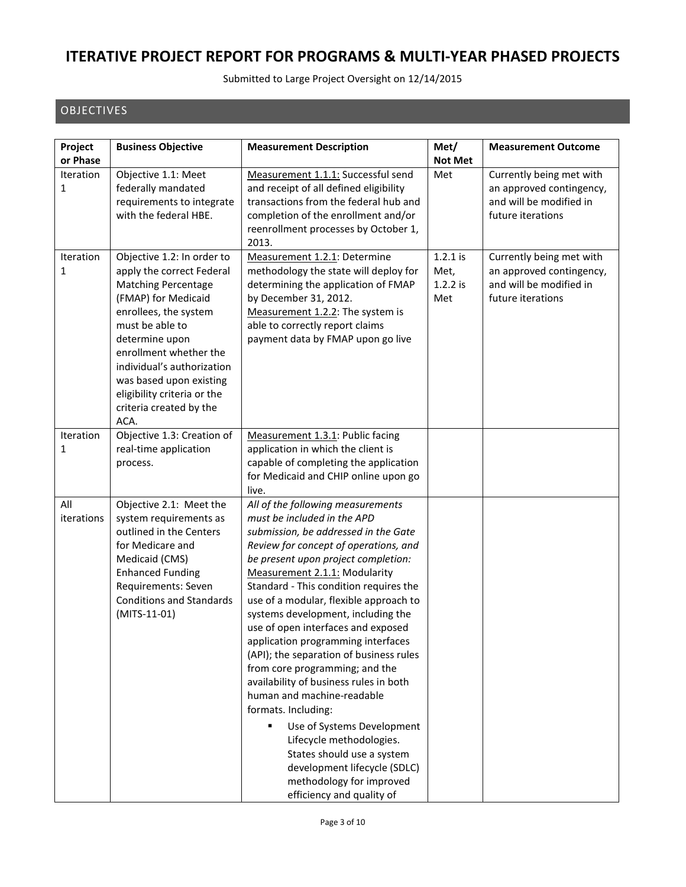Submitted to Large Project Oversight on 12/14/2015

### OBJECTIVES

| Project               | <b>Business Objective</b>                                                                                                                                                                                                                                                                                                       | <b>Measurement Description</b>                                                                                                                                                                                                                                                                                                                                                                                                                                                                                                                                                                                                                                                                                                                                                                    | Met/                                    | <b>Measurement Outcome</b>                                                                           |
|-----------------------|---------------------------------------------------------------------------------------------------------------------------------------------------------------------------------------------------------------------------------------------------------------------------------------------------------------------------------|---------------------------------------------------------------------------------------------------------------------------------------------------------------------------------------------------------------------------------------------------------------------------------------------------------------------------------------------------------------------------------------------------------------------------------------------------------------------------------------------------------------------------------------------------------------------------------------------------------------------------------------------------------------------------------------------------------------------------------------------------------------------------------------------------|-----------------------------------------|------------------------------------------------------------------------------------------------------|
| or Phase              |                                                                                                                                                                                                                                                                                                                                 |                                                                                                                                                                                                                                                                                                                                                                                                                                                                                                                                                                                                                                                                                                                                                                                                   | <b>Not Met</b>                          |                                                                                                      |
| <b>Iteration</b><br>1 | Objective 1.1: Meet<br>federally mandated<br>requirements to integrate<br>with the federal HBE.                                                                                                                                                                                                                                 | Measurement 1.1.1: Successful send<br>and receipt of all defined eligibility<br>transactions from the federal hub and<br>completion of the enrollment and/or<br>reenrollment processes by October 1,<br>2013.                                                                                                                                                                                                                                                                                                                                                                                                                                                                                                                                                                                     | Met                                     | Currently being met with<br>an approved contingency,<br>and will be modified in<br>future iterations |
| Iteration<br>1        | Objective 1.2: In order to<br>apply the correct Federal<br><b>Matching Percentage</b><br>(FMAP) for Medicaid<br>enrollees, the system<br>must be able to<br>determine upon<br>enrollment whether the<br>individual's authorization<br>was based upon existing<br>eligibility criteria or the<br>criteria created by the<br>ACA. | Measurement 1.2.1: Determine<br>methodology the state will deploy for<br>determining the application of FMAP<br>by December 31, 2012.<br>Measurement 1.2.2: The system is<br>able to correctly report claims<br>payment data by FMAP upon go live                                                                                                                                                                                                                                                                                                                                                                                                                                                                                                                                                 | $1.2.1$ is<br>Met,<br>$1.2.2$ is<br>Met | Currently being met with<br>an approved contingency,<br>and will be modified in<br>future iterations |
| Iteration<br>1        | Objective 1.3: Creation of<br>real-time application<br>process.                                                                                                                                                                                                                                                                 | Measurement 1.3.1: Public facing<br>application in which the client is<br>capable of completing the application<br>for Medicaid and CHIP online upon go<br>live.                                                                                                                                                                                                                                                                                                                                                                                                                                                                                                                                                                                                                                  |                                         |                                                                                                      |
| All<br>iterations     | Objective 2.1: Meet the<br>system requirements as<br>outlined in the Centers<br>for Medicare and<br>Medicaid (CMS)<br><b>Enhanced Funding</b><br>Requirements: Seven<br><b>Conditions and Standards</b><br>(MITS-11-01)                                                                                                         | All of the following measurements<br>must be included in the APD<br>submission, be addressed in the Gate<br>Review for concept of operations, and<br>be present upon project completion:<br>Measurement 2.1.1: Modularity<br>Standard - This condition requires the<br>use of a modular, flexible approach to<br>systems development, including the<br>use of open interfaces and exposed<br>application programming interfaces<br>(API); the separation of business rules<br>from core programming; and the<br>availability of business rules in both<br>human and machine-readable<br>formats. Including:<br>Use of Systems Development<br>Ξ<br>Lifecycle methodologies.<br>States should use a system<br>development lifecycle (SDLC)<br>methodology for improved<br>efficiency and quality of |                                         |                                                                                                      |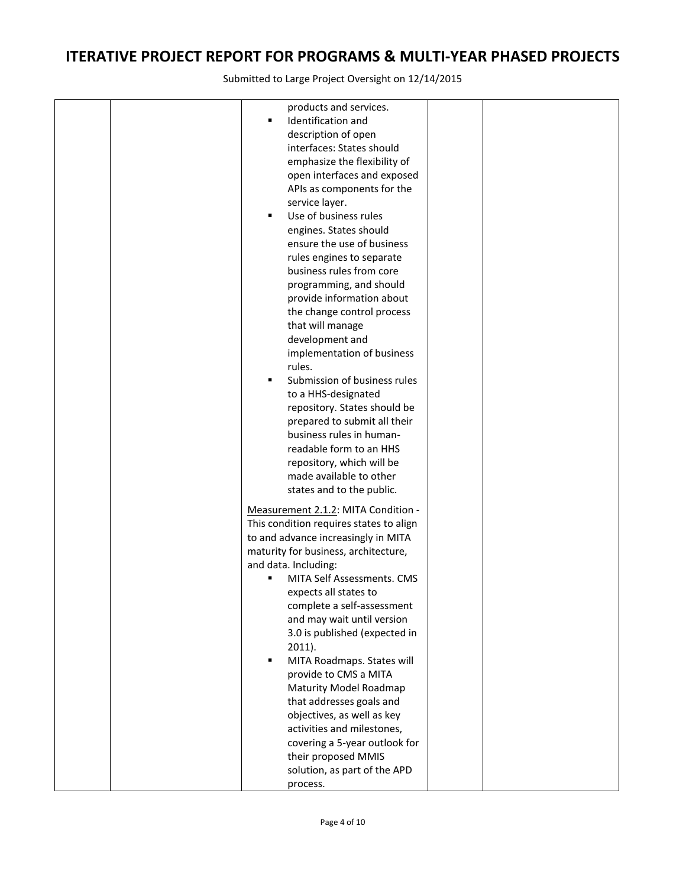|  | products and services.<br>Identification and<br>٠ |  |
|--|---------------------------------------------------|--|
|  | description of open                               |  |
|  | interfaces: States should                         |  |
|  | emphasize the flexibility of                      |  |
|  | open interfaces and exposed                       |  |
|  | APIs as components for the                        |  |
|  | service layer.                                    |  |
|  | Use of business rules<br>$\blacksquare$           |  |
|  | engines. States should                            |  |
|  | ensure the use of business                        |  |
|  | rules engines to separate                         |  |
|  | business rules from core                          |  |
|  | programming, and should                           |  |
|  | provide information about                         |  |
|  | the change control process<br>that will manage    |  |
|  | development and                                   |  |
|  | implementation of business                        |  |
|  | rules.                                            |  |
|  | Submission of business rules<br>٠                 |  |
|  | to a HHS-designated                               |  |
|  | repository. States should be                      |  |
|  | prepared to submit all their                      |  |
|  | business rules in human-                          |  |
|  | readable form to an HHS                           |  |
|  | repository, which will be                         |  |
|  | made available to other                           |  |
|  | states and to the public.                         |  |
|  | Measurement 2.1.2: MITA Condition -               |  |
|  | This condition requires states to align           |  |
|  | to and advance increasingly in MITA               |  |
|  | maturity for business, architecture,              |  |
|  | and data. Including:                              |  |
|  | MITA Self Assessments. CMS                        |  |
|  | expects all states to                             |  |
|  | complete a self-assessment                        |  |
|  | and may wait until version                        |  |
|  | 3.0 is published (expected in<br>$2011$ ).        |  |
|  | MITA Roadmaps. States will<br>٠                   |  |
|  | provide to CMS a MITA                             |  |
|  | Maturity Model Roadmap                            |  |
|  | that addresses goals and                          |  |
|  | objectives, as well as key                        |  |
|  | activities and milestones,                        |  |
|  | covering a 5-year outlook for                     |  |
|  | their proposed MMIS                               |  |
|  | solution, as part of the APD                      |  |
|  | process.                                          |  |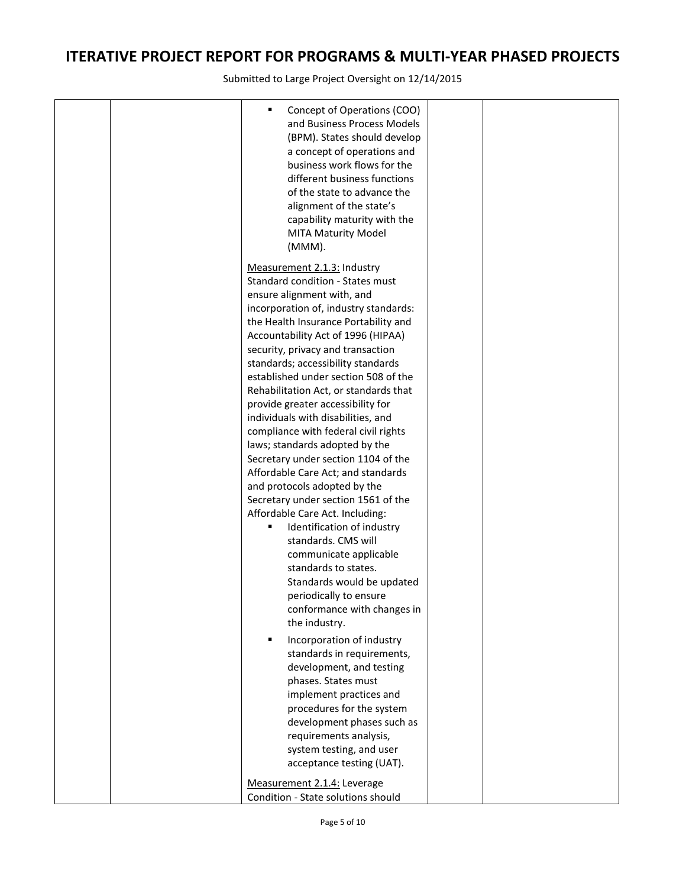| Concept of Operations (COO)<br>٠<br>and Business Process Models<br>(BPM). States should develop<br>a concept of operations and<br>business work flows for the<br>different business functions<br>of the state to advance the<br>alignment of the state's<br>capability maturity with the<br><b>MITA Maturity Model</b><br>(MMM).                                                 |  |
|----------------------------------------------------------------------------------------------------------------------------------------------------------------------------------------------------------------------------------------------------------------------------------------------------------------------------------------------------------------------------------|--|
| Measurement 2.1.3: Industry<br>Standard condition - States must<br>ensure alignment with, and<br>incorporation of, industry standards:<br>the Health Insurance Portability and<br>Accountability Act of 1996 (HIPAA)<br>security, privacy and transaction<br>standards; accessibility standards<br>established under section 508 of the<br>Rehabilitation Act, or standards that |  |
| provide greater accessibility for<br>individuals with disabilities, and<br>compliance with federal civil rights<br>laws; standards adopted by the<br>Secretary under section 1104 of the<br>Affordable Care Act; and standards<br>and protocols adopted by the                                                                                                                   |  |
| Secretary under section 1561 of the<br>Affordable Care Act. Including:<br>Identification of industry<br>standards. CMS will<br>communicate applicable<br>standards to states.                                                                                                                                                                                                    |  |
| Standards would be updated<br>periodically to ensure<br>conformance with changes in<br>the industry.<br>Incorporation of industry<br>٠                                                                                                                                                                                                                                           |  |
| standards in requirements,<br>development, and testing<br>phases. States must<br>implement practices and<br>procedures for the system<br>development phases such as<br>requirements analysis,<br>system testing, and user<br>acceptance testing (UAT).                                                                                                                           |  |
| Measurement 2.1.4: Leverage<br>Condition - State solutions should                                                                                                                                                                                                                                                                                                                |  |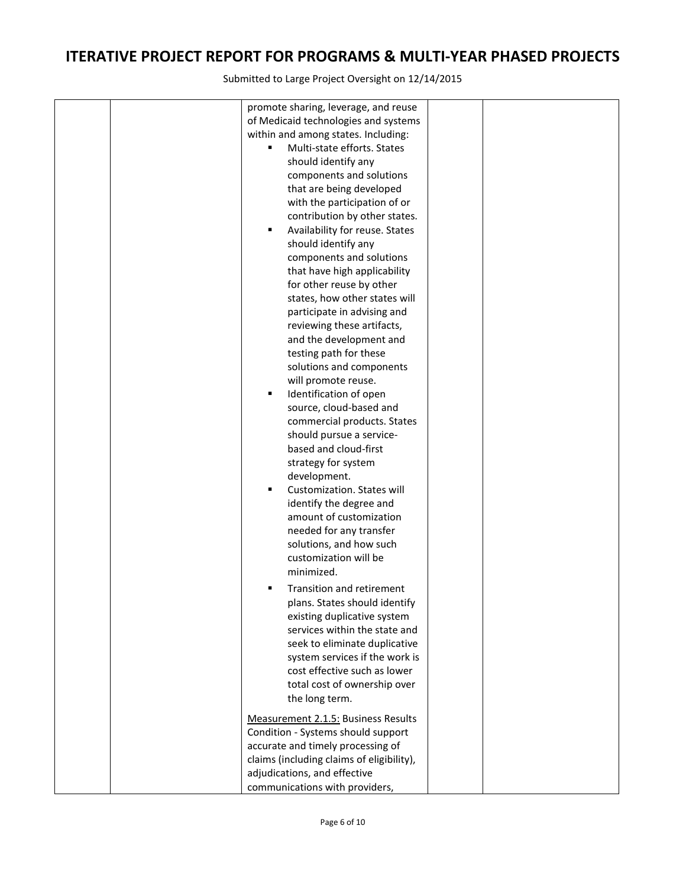| promote sharing, leverage, and reuse<br>of Medicaid technologies and systems<br>within and among states. Including:<br>Multi-state efforts. States<br>٠<br>should identify any<br>components and solutions<br>that are being developed<br>with the participation of or<br>contribution by other states.<br>Availability for reuse. States<br>٠<br>should identify any<br>components and solutions<br>that have high applicability<br>for other reuse by other<br>states, how other states will<br>participate in advising and<br>reviewing these artifacts,<br>and the development and<br>testing path for these<br>solutions and components<br>will promote reuse.<br>Identification of open<br>٠<br>source, cloud-based and<br>commercial products. States<br>should pursue a service-<br>based and cloud-first<br>strategy for system<br>development.<br>Customization. States will<br>٠<br>identify the degree and<br>amount of customization<br>needed for any transfer<br>solutions, and how such<br>customization will be<br>minimized.<br>Transition and retirement<br>٠<br>plans. States should identify<br>existing duplicative system<br>services within the state and<br>seek to eliminate duplicative<br>system services if the work is<br>cost effective such as lower<br>total cost of ownership over<br>the long term. |  |
|----------------------------------------------------------------------------------------------------------------------------------------------------------------------------------------------------------------------------------------------------------------------------------------------------------------------------------------------------------------------------------------------------------------------------------------------------------------------------------------------------------------------------------------------------------------------------------------------------------------------------------------------------------------------------------------------------------------------------------------------------------------------------------------------------------------------------------------------------------------------------------------------------------------------------------------------------------------------------------------------------------------------------------------------------------------------------------------------------------------------------------------------------------------------------------------------------------------------------------------------------------------------------------------------------------------------------------------|--|
| Measurement 2.1.5: Business Results<br>Condition - Systems should support<br>accurate and timely processing of<br>claims (including claims of eligibility),<br>adjudications, and effective<br>communications with providers,                                                                                                                                                                                                                                                                                                                                                                                                                                                                                                                                                                                                                                                                                                                                                                                                                                                                                                                                                                                                                                                                                                          |  |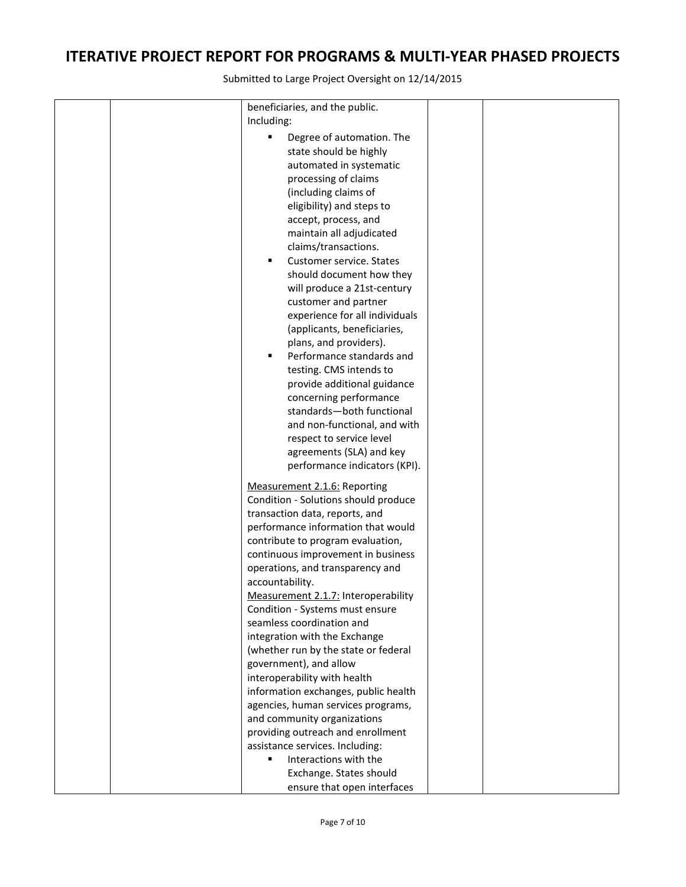|  | beneficiaries, and the public.              |  |
|--|---------------------------------------------|--|
|  | Including:                                  |  |
|  | Degree of automation. The<br>$\blacksquare$ |  |
|  | state should be highly                      |  |
|  | automated in systematic                     |  |
|  | processing of claims                        |  |
|  | (including claims of                        |  |
|  | eligibility) and steps to                   |  |
|  | accept, process, and                        |  |
|  | maintain all adjudicated                    |  |
|  | claims/transactions.                        |  |
|  | Customer service. States<br>٠               |  |
|  | should document how they                    |  |
|  | will produce a 21st-century                 |  |
|  | customer and partner                        |  |
|  | experience for all individuals              |  |
|  | (applicants, beneficiaries,                 |  |
|  | plans, and providers).                      |  |
|  | Performance standards and<br>٠              |  |
|  | testing. CMS intends to                     |  |
|  | provide additional guidance                 |  |
|  | concerning performance                      |  |
|  | standards-both functional                   |  |
|  | and non-functional, and with                |  |
|  | respect to service level                    |  |
|  | agreements (SLA) and key                    |  |
|  | performance indicators (KPI).               |  |
|  |                                             |  |
|  | Measurement 2.1.6: Reporting                |  |
|  | Condition - Solutions should produce        |  |
|  | transaction data, reports, and              |  |
|  | performance information that would          |  |
|  | contribute to program evaluation,           |  |
|  | continuous improvement in business          |  |
|  | operations, and transparency and            |  |
|  | accountability.                             |  |
|  | Measurement 2.1.7: Interoperability         |  |
|  | Condition - Systems must ensure             |  |
|  | seamless coordination and                   |  |
|  | integration with the Exchange               |  |
|  | (whether run by the state or federal        |  |
|  | government), and allow                      |  |
|  | interoperability with health                |  |
|  | information exchanges, public health        |  |
|  | agencies, human services programs,          |  |
|  | and community organizations                 |  |
|  | providing outreach and enrollment           |  |
|  | assistance services. Including:             |  |
|  | Interactions with the<br>٠                  |  |
|  | Exchange. States should                     |  |
|  | ensure that open interfaces                 |  |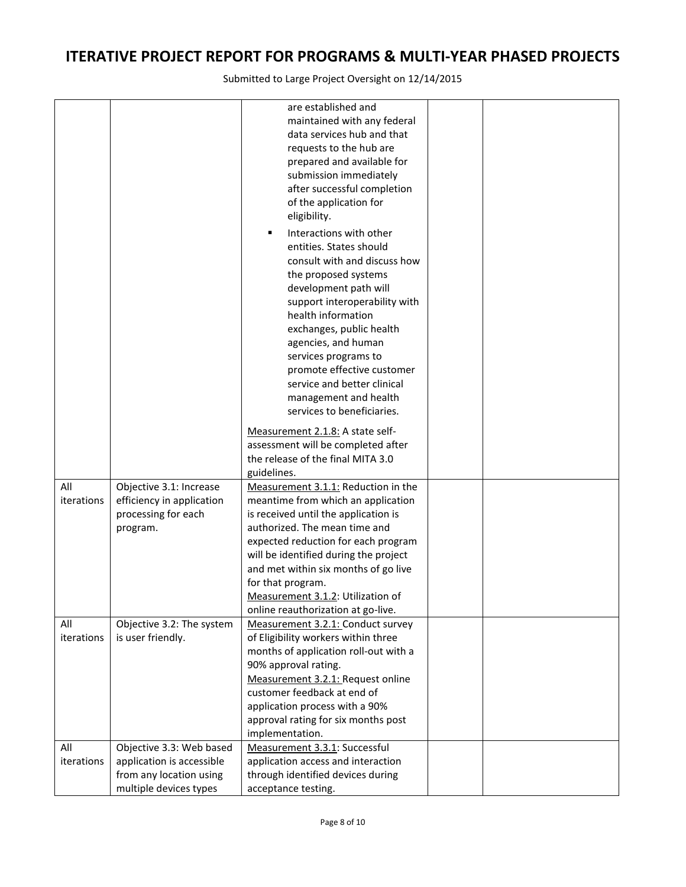|            |                           | are established and                   |  |
|------------|---------------------------|---------------------------------------|--|
|            |                           | maintained with any federal           |  |
|            |                           | data services hub and that            |  |
|            |                           | requests to the hub are               |  |
|            |                           | prepared and available for            |  |
|            |                           | submission immediately                |  |
|            |                           | after successful completion           |  |
|            |                           | of the application for                |  |
|            |                           | eligibility.                          |  |
|            |                           | Interactions with other<br>п          |  |
|            |                           | entities. States should               |  |
|            |                           | consult with and discuss how          |  |
|            |                           | the proposed systems                  |  |
|            |                           | development path will                 |  |
|            |                           | support interoperability with         |  |
|            |                           | health information                    |  |
|            |                           | exchanges, public health              |  |
|            |                           | agencies, and human                   |  |
|            |                           | services programs to                  |  |
|            |                           | promote effective customer            |  |
|            |                           | service and better clinical           |  |
|            |                           | management and health                 |  |
|            |                           | services to beneficiaries.            |  |
|            |                           |                                       |  |
|            |                           | Measurement 2.1.8: A state self-      |  |
|            |                           | assessment will be completed after    |  |
|            |                           | the release of the final MITA 3.0     |  |
|            |                           | guidelines.                           |  |
| All        | Objective 3.1: Increase   | Measurement 3.1.1: Reduction in the   |  |
| iterations | efficiency in application | meantime from which an application    |  |
|            | processing for each       | is received until the application is  |  |
|            | program.                  | authorized. The mean time and         |  |
|            |                           | expected reduction for each program   |  |
|            |                           | will be identified during the project |  |
|            |                           | and met within six months of go live  |  |
|            |                           | for that program.                     |  |
|            |                           | Measurement 3.1.2: Utilization of     |  |
|            |                           | online reauthorization at go-live.    |  |
| All        | Objective 3.2: The system | Measurement 3.2.1: Conduct survey     |  |
| iterations | is user friendly.         | of Eligibility workers within three   |  |
|            |                           | months of application roll-out with a |  |
|            |                           | 90% approval rating.                  |  |
|            |                           | Measurement 3.2.1: Request online     |  |
|            |                           | customer feedback at end of           |  |
|            |                           | application process with a 90%        |  |
|            |                           | approval rating for six months post   |  |
|            |                           | implementation.                       |  |
| All        | Objective 3.3: Web based  | Measurement 3.3.1: Successful         |  |
| iterations | application is accessible | application access and interaction    |  |
|            | from any location using   | through identified devices during     |  |
|            | multiple devices types    | acceptance testing.                   |  |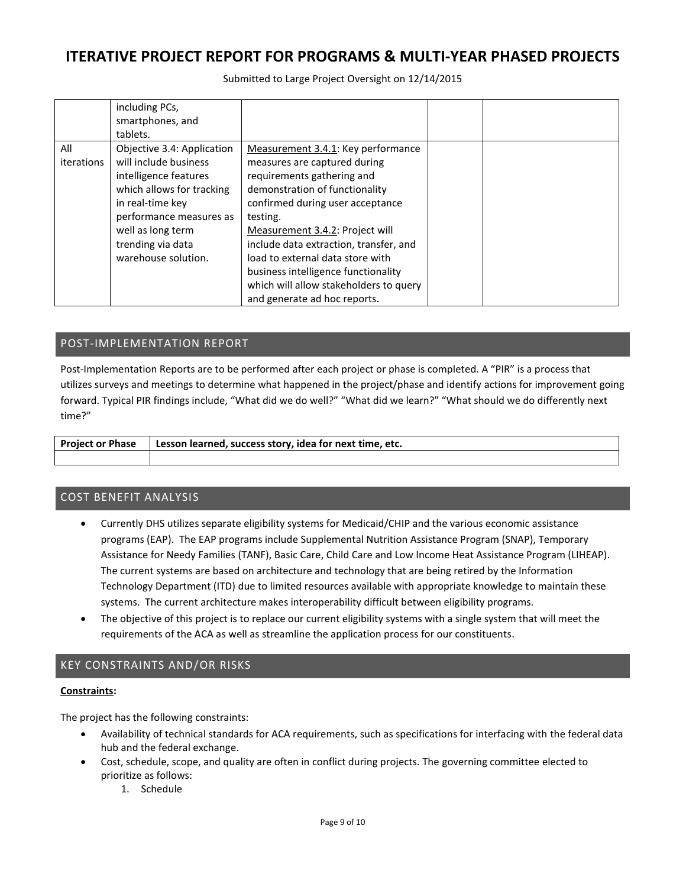Submitted to Large Project Oversight on 12/14/2015

|                   | including PCs,<br>smartphones, and<br>tablets.                                                                                                                                                                            |                                                                                                                                                                                                                                                                                                                                                                                                                      |  |
|-------------------|---------------------------------------------------------------------------------------------------------------------------------------------------------------------------------------------------------------------------|----------------------------------------------------------------------------------------------------------------------------------------------------------------------------------------------------------------------------------------------------------------------------------------------------------------------------------------------------------------------------------------------------------------------|--|
| All<br>iterations | Objective 3.4: Application<br>will include business<br>intelligence features<br>which allows for tracking<br>in real-time key<br>performance measures as<br>well as long term<br>trending via data<br>warehouse solution. | Measurement 3.4.1: Key performance<br>measures are captured during<br>requirements gathering and<br>demonstration of functionality<br>confirmed during user acceptance<br>testing.<br>Measurement 3.4.2: Project will<br>include data extraction, transfer, and<br>load to external data store with<br>business intelligence functionality<br>which will allow stakeholders to query<br>and generate ad hoc reports. |  |

### POST-IMPLEMENTATION REPORT

Post-Implementation Reports are to be performed after each project or phase is completed. A "PIR" is a process that utilizes surveys and meetings to determine what happened in the project/phase and identify actions for improvement going forward. Typical PIR findings include, "What did we do well?" "What did we learn?" "What should we do differently next time?"

| <b>Project or Phase</b> | Lesson learned, success story, idea for next time, etc. |
|-------------------------|---------------------------------------------------------|
|                         |                                                         |

### COST BENEFIT ANALYSIS

- Currently DHS utilizes separate eligibility systems for Medicaid/CHIP and the various economic assistance programs (EAP). The EAP programs include Supplemental Nutrition Assistance Program (SNAP), Temporary Assistance for Needy Families (TANF), Basic Care, Child Care and Low Income Heat Assistance Program (LIHEAP). The current systems are based on architecture and technology that are being retired by the Information Technology Department (ITD) due to limited resources available with appropriate knowledge to maintain these systems. The current architecture makes interoperability difficult between eligibility programs.
- The objective of this project is to replace our current eligibility systems with a single system that will meet the requirements of the ACA as well as streamline the application process for our constituents.

### KEY CONSTRAINTS AND/OR RISKS

#### **Constraints:**

The project has the following constraints:

- Availability of technical standards for ACA requirements, such as specifications for interfacing with the federal data hub and the federal exchange.
- Cost, schedule, scope, and quality are often in conflict during projects. The governing committee elected to prioritize as follows:
	- 1. Schedule